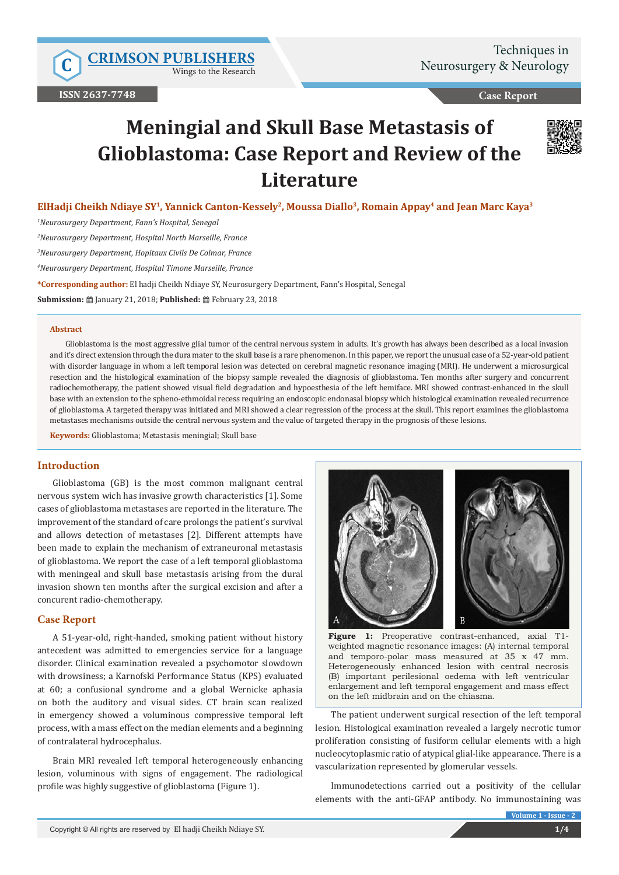Wings to the Research

**Case Report**

# **Meningial and Skull Base Metastasis of Glioblastoma: Case Report and Review of the Literature**



**ElHadji Cheikh Ndiaye SY1, Yannick Canton-Kessely2, Moussa Diallo3, Romain Appay4 and Jean Marc Kaya3**

*1 Neurosurgery Department, Fann's Hospital, Senegal*

*2 Neurosurgery Department, Hospital North Marseille, France*

*3 Neurosurgery Department, Hopitaux Civils De Colmar, France*

*4 Neurosurgery Department, Hospital Timone Marseille, France*

**\*Corresponding author:** El hadji Cheikh Ndiaye SY, Neurosurgery Department, Fann's Hospital, Senegal

**Submission:** January 21, 2018; **Published:** February 23, 2018

#### **Abstract**

Glioblastoma is the most aggressive glial tumor of the central nervous system in adults. It's growth has always been described as a local invasion and it's direct extension through the dura mater to the skull base is a rare phenomenon. In this paper, we report the unusual case of a 52-year-old patient with disorder language in whom a left temporal lesion was detected on cerebral magnetic resonance imaging (MRI). He underwent a microsurgical resection and the histological examination of the biopsy sample revealed the diagnosis of glioblastoma. Ten months after surgery and concurrent radiochemotherapy, the patient showed visual field degradation and hypoesthesia of the left hemiface. MRI showed contrast-enhanced in the skull base with an extension to the spheno-ethmoidal recess requiring an endoscopic endonasal biopsy which histological examination revealed recurrence of glioblastoma. A targeted therapy was initiated and MRI showed a clear regression of the process at the skull. This report examines the glioblastoma metastases mechanisms outside the central nervous system and the value of targeted therapy in the prognosis of these lesions.

**Keywords:** Glioblastoma; Metastasis meningial; Skull base

## **Introduction**

Glioblastoma (GB) is the most common malignant central nervous system wich has invasive growth characteristics [1]. Some cases of glioblastoma metastases are reported in the literature. The improvement of the standard of care prolongs the patient's survival and allows detection of metastases [2]. Different attempts have been made to explain the mechanism of extraneuronal metastasis of glioblastoma. We report the case of a left temporal glioblastoma with meningeal and skull base metastasis arising from the dural invasion shown ten months after the surgical excision and after a concurent radio-chemotherapy.

## **Case Report**

A 51-year-old, right-handed, smoking patient without history antecedent was admitted to emergencies service for a language disorder. Clinical examination revealed a psychomotor slowdown with drowsiness; a Karnofski Performance Status (KPS) evaluated at 60; a confusional syndrome and a global Wernicke aphasia on both the auditory and visual sides. CT brain scan realized in emergency showed a voluminous compressive temporal left process, with a mass effect on the median elements and a beginning of contralateral hydrocephalus.

Brain MRI revealed left temporal heterogeneously enhancing lesion, voluminous with signs of engagement. The radiological profile was highly suggestive of glioblastoma (Figure 1).



**Figure 1:** Preoperative contrast-enhanced, axial T1 weighted magnetic resonance images: (A) internal temporal and temporo-polar mass measured at 35 x 47 mm. Heterogeneously enhanced lesion with central necrosis (B) important perilesional oedema with left ventricular enlargement and left temporal engagement and mass effect on the left midbrain and on the chiasma.

The patient underwent surgical resection of the left temporal lesion. Histological examination revealed a largely necrotic tumor proliferation consisting of fusiform cellular elements with a high nucleocytoplasmic ratio of atypical glial-like appearance. There is a vascularization represented by glomerular vessels.

Immunodetections carried out a positivity of the cellular elements with the anti-GFAP antibody. No immunostaining was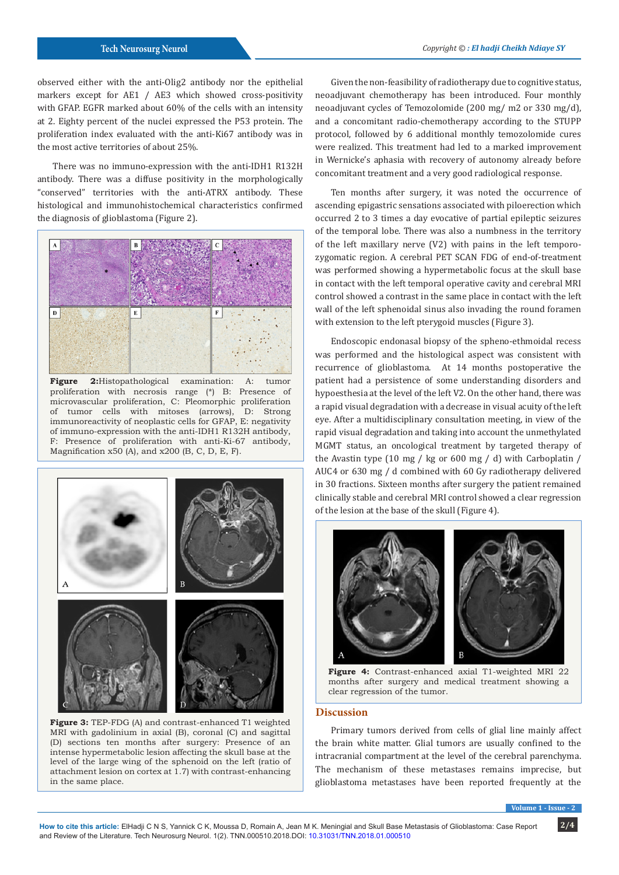observed either with the anti-Olig2 antibody nor the epithelial markers except for AE1 / AE3 which showed cross-positivity with GFAP. EGFR marked about 60% of the cells with an intensity at 2. Eighty percent of the nuclei expressed the P53 protein. The proliferation index evaluated with the anti-Ki67 antibody was in the most active territories of about 25%.

There was no immuno-expression with the anti-IDH1 R132H antibody. There was a diffuse positivity in the morphologically "conserved" territories with the anti-ATRX antibody. These histological and immunohistochemical characteristics confirmed the diagnosis of glioblastoma (Figure 2).



**Figure 2:**Histopathological examination: A: tumor proliferation with necrosis range (\*) B: Presence of microvascular proliferation, C: Pleomorphic proliferation of tumor cells with mitoses (arrows), D: Strong immunoreactivity of neoplastic cells for GFAP, E: negativity of immuno-expression with the anti-IDH1 R132H antibody, F: Presence of proliferation with anti-Ki-67 antibody, Magnification x50 (A), and x200 (B, C, D, E, F).



**Figure 3:** TEP-FDG (A) and contrast-enhanced T1 weighted MRI with gadolinium in axial (B), coronal (C) and sagittal (D) sections ten months after surgery: Presence of an intense hypermetabolic lesion affecting the skull base at the level of the large wing of the sphenoid on the left (ratio of attachment lesion on cortex at 1.7) with contrast-enhancing in the same place.

Given the non-feasibility of radiotherapy due to cognitive status, neoadjuvant chemotherapy has been introduced. Four monthly neoadjuvant cycles of Temozolomide (200 mg/ m2 or 330 mg/d), and a concomitant radio-chemotherapy according to the STUPP protocol, followed by 6 additional monthly temozolomide cures were realized. This treatment had led to a marked improvement in Wernicke's aphasia with recovery of autonomy already before concomitant treatment and a very good radiological response.

Ten months after surgery, it was noted the occurrence of ascending epigastric sensations associated with piloerection which occurred 2 to 3 times a day evocative of partial epileptic seizures of the temporal lobe. There was also a numbness in the territory of the left maxillary nerve (V2) with pains in the left temporozygomatic region. A cerebral PET SCAN FDG of end-of-treatment was performed showing a hypermetabolic focus at the skull base in contact with the left temporal operative cavity and cerebral MRI control showed a contrast in the same place in contact with the left wall of the left sphenoidal sinus also invading the round foramen with extension to the left pterygoid muscles (Figure 3).

Endoscopic endonasal biopsy of the spheno-ethmoidal recess was performed and the histological aspect was consistent with recurrence of glioblastoma. At 14 months postoperative the patient had a persistence of some understanding disorders and hypoesthesia at the level of the left V2. On the other hand, there was a rapid visual degradation with a decrease in visual acuity of the left eye. After a multidisciplinary consultation meeting, in view of the rapid visual degradation and taking into account the unmethylated MGMT status, an oncological treatment by targeted therapy of the Avastin type (10 mg / kg or 600 mg / d) with Carboplatin / AUC4 or 630 mg / d combined with 60 Gy radiotherapy delivered in 30 fractions. Sixteen months after surgery the patient remained clinically stable and cerebral MRI control showed a clear regression of the lesion at the base of the skull (Figure 4).



**Figure 4:** Contrast-enhanced axial T1-weighted MRI 22 months after surgery and medical treatment showing a clear regression of the tumor.

## **Discussion**

Primary tumors derived from cells of glial line mainly affect the brain white matter. Glial tumors are usually confined to the intracranial compartment at the level of the cerebral parenchyma. The mechanism of these metastases remains imprecise, but glioblastoma metastases have been reported frequently at the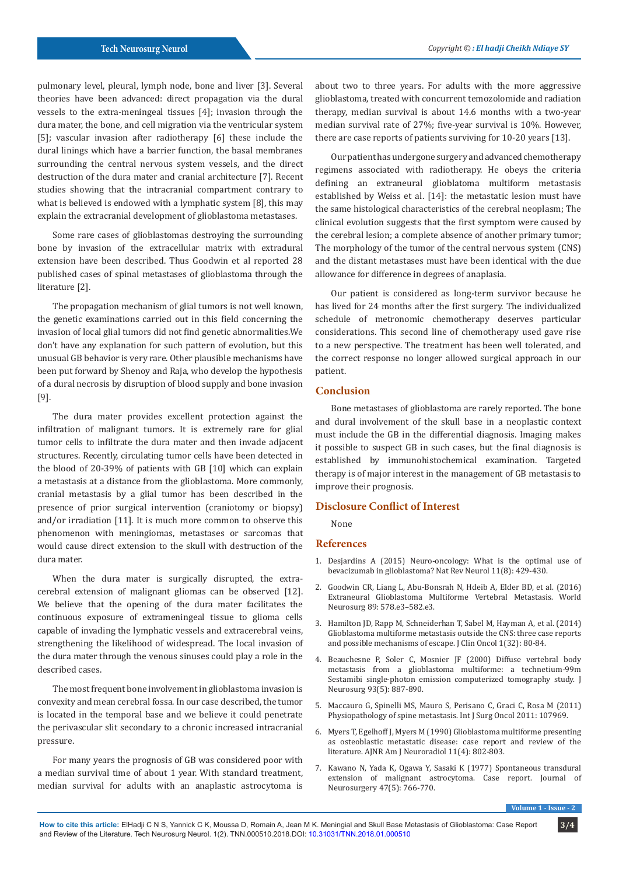pulmonary level, pleural, lymph node, bone and liver [3]. Several theories have been advanced: direct propagation via the dural vessels to the extra-meningeal tissues [4]; invasion through the dura mater, the bone, and cell migration via the ventricular system [5]; vascular invasion after radiotherapy [6] these include the dural linings which have a barrier function, the basal membranes surrounding the central nervous system vessels, and the direct destruction of the dura mater and cranial architecture [7]. Recent studies showing that the intracranial compartment contrary to what is believed is endowed with a lymphatic system [8], this may explain the extracranial development of glioblastoma metastases.

Some rare cases of glioblastomas destroying the surrounding bone by invasion of the extracellular matrix with extradural extension have been described. Thus Goodwin et al reported 28 published cases of spinal metastases of glioblastoma through the literature [2].

The propagation mechanism of glial tumors is not well known, the genetic examinations carried out in this field concerning the invasion of local glial tumors did not find genetic abnormalities.We don't have any explanation for such pattern of evolution, but this unusual GB behavior is very rare. Other plausible mechanisms have been put forward by Shenoy and Raja, who develop the hypothesis of a dural necrosis by disruption of blood supply and bone invasion [9].

The dura mater provides excellent protection against the infiltration of malignant tumors. It is extremely rare for glial tumor cells to infiltrate the dura mater and then invade adjacent structures. Recently, circulating tumor cells have been detected in the blood of 20-39% of patients with GB [10] which can explain a metastasis at a distance from the glioblastoma. More commonly, cranial metastasis by a glial tumor has been described in the presence of prior surgical intervention (craniotomy or biopsy) and/or irradiation [11]. It is much more common to observe this phenomenon with meningiomas, metastases or sarcomas that would cause direct extension to the skull with destruction of the dura mater.

When the dura mater is surgically disrupted, the extracerebral extension of malignant gliomas can be observed [12]. We believe that the opening of the dura mater facilitates the continuous exposure of extrameningeal tissue to glioma cells capable of invading the lymphatic vessels and extracerebral veins, strengthening the likelihood of widespread. The local invasion of the dura mater through the venous sinuses could play a role in the described cases.

The most frequent bone involvement in glioblastoma invasion is convexity and mean cerebral fossa. In our case described, the tumor is located in the temporal base and we believe it could penetrate the perivascular slit secondary to a chronic increased intracranial pressure.

For many years the prognosis of GB was considered poor with a median survival time of about 1 year. With standard treatment, median survival for adults with an anaplastic astrocytoma is about two to three years. For adults with the more aggressive glioblastoma, treated with concurrent temozolomide and radiation therapy, median survival is about 14.6 months with a two-year median survival rate of 27%; five-year survival is 10%. However, there are case reports of patients surviving for 10-20 years [13].

Our patient has undergone surgery and advanced chemotherapy regimens associated with radiotherapy. He obeys the criteria defining an extraneural glioblatoma multiform metastasis established by Weiss et al. [14]: the metastatic lesion must have the same histological characteristics of the cerebral neoplasm; The clinical evolution suggests that the first symptom were caused by the cerebral lesion; a complete absence of another primary tumor; The morphology of the tumor of the central nervous system (CNS) and the distant metastases must have been identical with the due allowance for difference in degrees of anaplasia.

Our patient is considered as long-term survivor because he has lived for 24 months after the first surgery. The individualized schedule of metronomic chemotherapy deserves particular considerations. This second line of chemotherapy used gave rise to a new perspective. The treatment has been well tolerated, and the correct response no longer allowed surgical approach in our patient.

## **Conclusion**

Bone metastases of glioblastoma are rarely reported. The bone and dural involvement of the skull base in a neoplastic context must include the GB in the differential diagnosis. Imaging makes it possible to suspect GB in such cases, but the final diagnosis is established by immunohistochemical examination. Targeted therapy is of major interest in the management of GB metastasis to improve their prognosis.

## **Disclosure Conflict of Interest**

None

#### **References**

- 1. [Desjardins A \(2015\) Neuro-oncology: What is the optimal use of](https://www.ncbi.nlm.nih.gov/pubmed/26195258) [bevacizumab in glioblastoma? Nat Rev Neurol 11\(8\): 429-430.](https://www.ncbi.nlm.nih.gov/pubmed/26195258)
- 2. [Goodwin CR, Liang L, Abu-Bonsrah N, Hdeib A, Elder BD, et al. \(2016\)](https://www.ncbi.nlm.nih.gov/pubmed/26704201/) [Extraneural Glioblastoma Multiforme Vertebral Metastasis. World](https://www.ncbi.nlm.nih.gov/pubmed/26704201/) [Neurosurg 89: 578.e3–582.e3.](https://www.ncbi.nlm.nih.gov/pubmed/26704201/)
- 3. [Hamilton JD, Rapp M, Schneiderhan T, Sabel M, Hayman A, et al. \(2014\)](https://www.ncbi.nlm.nih.gov/pubmed/24567434) [Glioblastoma multiforme metastasis outside the CNS: three case reports](https://www.ncbi.nlm.nih.gov/pubmed/24567434) [and possible mechanisms of escape. J Clin Oncol 1\(32\): 80-84.](https://www.ncbi.nlm.nih.gov/pubmed/24567434)
- 4. [Beauchesne P, Soler C, Mosnier JF \(2000\) Diffuse vertebral body](https://www.ncbi.nlm.nih.gov/pubmed/11059674) [metastasis from a glioblastoma multiforme: a technetium-99m](https://www.ncbi.nlm.nih.gov/pubmed/11059674) [Sestamibi single-photon emission computerized tomography study. J](https://www.ncbi.nlm.nih.gov/pubmed/11059674) [Neurosurg 93\(5\): 887-890.](https://www.ncbi.nlm.nih.gov/pubmed/11059674)
- 5. [Maccauro G, Spinelli MS, Mauro S, Perisano C, Graci C, Rosa M \(2011\)](https://www.ncbi.nlm.nih.gov/pubmed/22312491) [Physiopathology of spine metastasis. Int J Surg Oncol 2011: 107969.](https://www.ncbi.nlm.nih.gov/pubmed/22312491)
- 6. [Myers T, Egelhoff J, Myers M \(1990\) Glioblastoma multiforme presenting](https://www.ncbi.nlm.nih.gov/pubmed/2164320) [as osteoblastic metastatic disease: case report and review of the](https://www.ncbi.nlm.nih.gov/pubmed/2164320) [literature. AJNR Am J Neuroradiol 11\(4\): 802-803.](https://www.ncbi.nlm.nih.gov/pubmed/2164320)
- 7. [Kawano N, Yada K, Ogawa Y, Sasaki K \(1977\) Spontaneous transdural](https://www.ncbi.nlm.nih.gov/pubmed/908941) [extension of malignant astrocytoma. Case report. Journal of](https://www.ncbi.nlm.nih.gov/pubmed/908941) [Neurosurgery 47\(5\): 766-770.](https://www.ncbi.nlm.nih.gov/pubmed/908941)

**Volume 1 - Issue - 2**